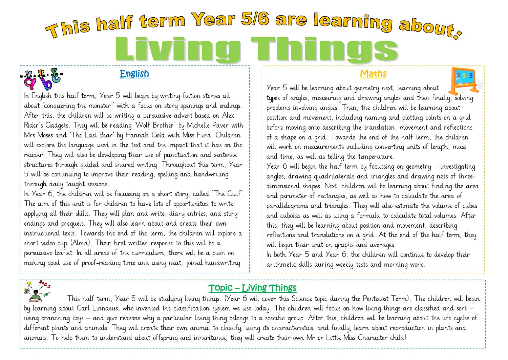# This half term Year 5/6 are learning about. l Thi LI WII

## English

In English this half term, Year 5 will begin by writing fiction stories all about 'conquering the monster!' with a focus on story openings and endings. After this, the children will be writing a persuasive advert based on Alex Rider's Gadgets. They will be reading 'Wolf Brother' by Michelle Paver with Mrs Moses and 'The Last Bear' by Hannah Gold with Miss Fura. Children will explore the language used in the text and the impact that it has on the reader. They will also be developing their use of punctuation and sentence structures through guided and shared writing. Throughout this term, Year 5 will be continuing to improve their reading, spelling and handwriting through daily taught sessions.

In Year 6, the children will be focussing on a short story, called 'The Gulf'. The aim of this unit is for children to have lots of opportunities to write: applying all their skills. They will plan and write: diary entries, and story endings and prequels. They will also learn about and create their own instructional texts. Towards the end of the term, the children will explore a short video clip (Alma). Their first written response to this will be a persuasive leaflet. In all areas of the curriculum, there will be a push on making good use of proof-reading time and using neat, joined handwriting.

# **Maths**



Year 6 will begin the half term by focussing on geometry – investigating angles, drawing quadrilaterals and triangles and drawing nets of threedimensional shapes. Next, children will be learning about finding the area and perimeter of rectangles, as well as how to calculate the area of parallelograms and triangles. They will also estimate the volume of cubes and cuboids as well as using a formula to calculate total volumes. After this, they will be learning about position and movement, describing reflections and translations on a grid. At the end of the half term, they will begin their unit on graphs and averages.

In both Year 5 and Year 6, the children will continue to develop their arithmetic skills during weekly tests and morning work.



ľ

# Topic – Living Things

This half term, Year 5 will be studying living things. (Year 6 will cover this Science topic during the Pentecost Term). The children will begin by learning about Carl Linnaeus, who invented the classification system we use today. The children will focus on how living things are classified and sort – using branching keys – and give reasons why a particular living thing belongs to a specific group. After this, children will be learning about the life cycles of different plants and animals. They will create their own animal to classify, using its characteristics, and finally, learn about reproduction in plants and animals. To help them to understand about offspring and inheritance, they will create their own Mr or Little Miss Character child!